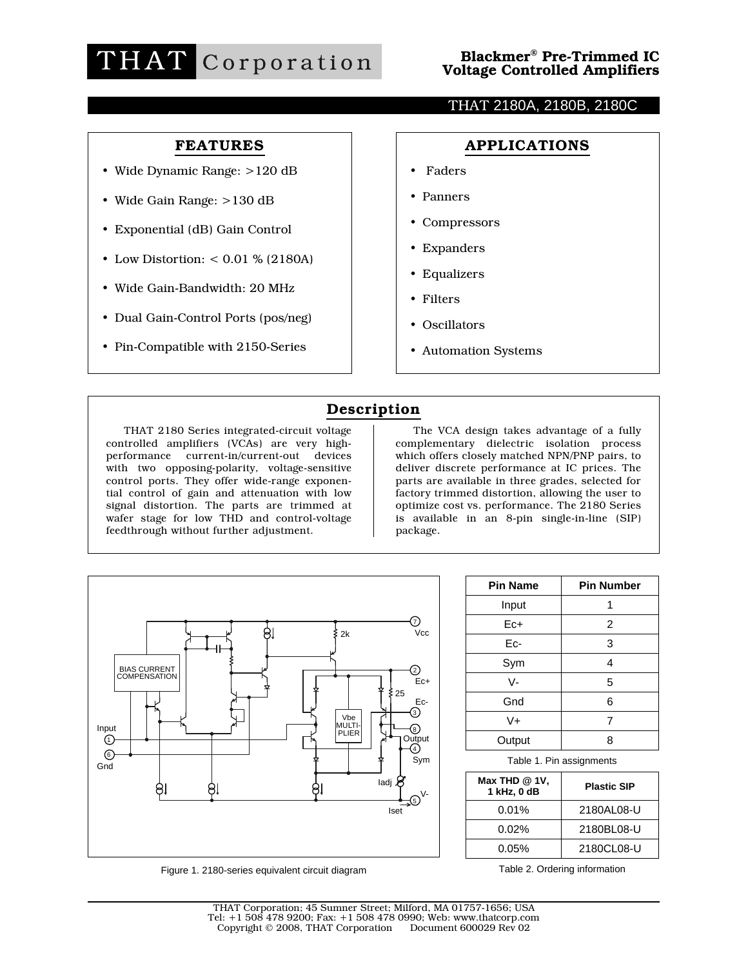

# THAT 2180A, 2180B, 2180C

# FEATURES

- Wide Dynamic Range: >120 dB
- Wide Gain Range: >130 dB
- Exponential (dB) Gain Control
- Low Distortion: < 0.01 % (2180A)
- Wide Gain-Bandwidth: 20 MHz
- Dual Gain-Control Ports (pos/neg)
- Pin-Compatible with 2150-Series

## APPLICATIONS

- Faders
- Panners
- Compressors
- Expanders
- Equalizers
- Filters
- Oscillators
- Automation Systems

# Description

THAT 2180 Series integrated-circuit voltage controlled amplifiers (VCAs) are very highperformance current-in/current-out devices with two opposing-polarity, voltage-sensitive control ports. They offer wide-range exponential control of gain and attenuation with low signal distortion. The parts are trimmed at wafer stage for low THD and control-voltage feedthrough without further adjustment.

The VCA design takes advantage of a fully complementary dielectric isolation process which offers closely matched NPN/PNP pairs, to deliver discrete performance at IC prices. The parts are available in three grades, selected for factory trimmed distortion, allowing the user to optimize cost vs. performance. The 2180 Series is available in an 8-pin single-in-line (SIP) package.



Figure 1. 2180-series equivalent circuit diagram

| <b>Pin Name</b> | <b>Pin Number</b> |
|-----------------|-------------------|
| Input           |                   |
| Ec+             | 2                 |
| Ec-             | 3                 |
| Sym             | 4                 |
| $V -$           | 5                 |
| Gnd             | 6                 |
| $V +$           | 7                 |
| Output          |                   |

Table 1. Pin assignments

| Max THD $@$ 1V,<br>1 kHz, 0 dB | <b>Plastic SIP</b> |
|--------------------------------|--------------------|
| $0.01\%$                       | 2180AL08-U         |
| $0.02\%$                       | 2180BL08-U         |
| $0.05\%$                       | 2180CL08-U         |

Table 2. Ordering information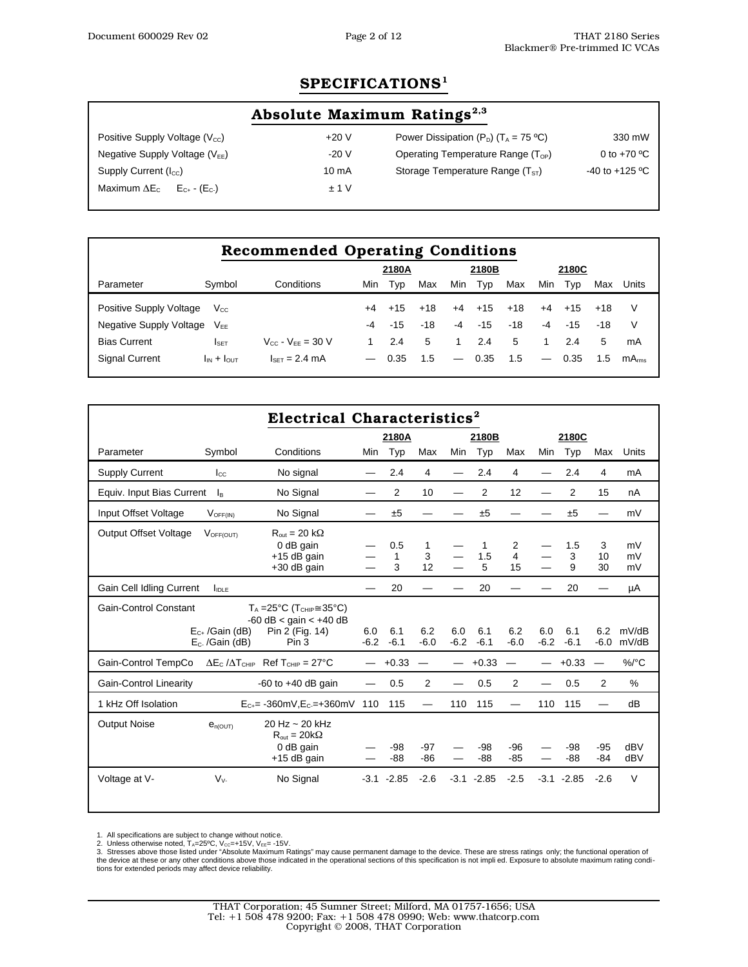# SPECIFICATIONS<sup>1</sup>

| Absolute Maximum Ratings <sup>2,3</sup>                       |                 |                                                    |                    |  |  |  |  |  |  |  |
|---------------------------------------------------------------|-----------------|----------------------------------------------------|--------------------|--|--|--|--|--|--|--|
| Positive Supply Voltage $(V_{cc})$                            | $+20V$          | Power Dissipation $(P_D)$ (T <sub>A</sub> = 75 °C) | 330 mW             |  |  |  |  |  |  |  |
| Negative Supply Voltage $(V_{EE})$                            | $-20V$          | Operating Temperature Range $(T_{OP})$             | 0 to $+70 °C$      |  |  |  |  |  |  |  |
| Supply Current $(I_{cc})$                                     | $10 \text{ mA}$ | Storage Temperature Range $(TST)$                  | $-40$ to $+125$ °C |  |  |  |  |  |  |  |
| Maximum $\Delta E_{C}$ $E_{C_{+}}$ $\cdot$ (E <sub>C-</sub> ) | ± 1 V           |                                                    |                    |  |  |  |  |  |  |  |

| <b>Recommended Operating Conditions</b> |                    |                          |                |       |       |                          |       |       |      |       |       |            |
|-----------------------------------------|--------------------|--------------------------|----------------|-------|-------|--------------------------|-------|-------|------|-------|-------|------------|
|                                         |                    |                          | 2180A<br>2180B |       |       |                          |       | 2180C |      |       |       |            |
| Parameter                               | Symbol             | Conditions               | Min            | Typ   | Max   | Min                      | Typ   | Max   | Min  | Typ   | Max   | Units      |
| Positive Supply Voltage                 | $V_{\rm CC}$       |                          | +4             | $+15$ | $+18$ | $+4$                     | $+15$ | $+18$ | $+4$ | $+15$ | $+18$ | V          |
| Negative Supply Voltage                 | $V_{FF}$           |                          | -4             | $-15$ | $-18$ | $-4$                     | $-15$ | $-18$ | $-4$ | $-15$ | $-18$ | V          |
| <b>Bias Current</b>                     | <b>I</b> SET       | $V_{CC} - V_{EF} = 30 V$ |                | 2.4   | 5     |                          | 2.4   | 5     |      | 2.4   | 5     | mA         |
| <b>Signal Current</b>                   | $I_{IN} + I_{OUT}$ | $ISET = 2.4 mA$          |                | 0.35  | 1.5   | $\overline{\phantom{m}}$ | 0.35  | 1.5   |      | 0.35  | 1.5   | $mA_{rms}$ |

| Electrical Characteristics <sup>2</sup>              |                                           |                                                                                                            |               |               |                |               |               |                |               |               |                |                |
|------------------------------------------------------|-------------------------------------------|------------------------------------------------------------------------------------------------------------|---------------|---------------|----------------|---------------|---------------|----------------|---------------|---------------|----------------|----------------|
|                                                      |                                           | 2180A<br>2180B                                                                                             |               |               |                |               |               | 2180C          |               |               |                |                |
| Parameter                                            | Symbol                                    | Conditions                                                                                                 | <b>Min</b>    | Typ           | Max            | <b>Min</b>    | Typ           | Max            | Min           | Typ           | Max            | Units          |
| <b>Supply Current</b>                                | $I_{\rm CC}$                              | No signal                                                                                                  |               | 2.4           | 4              |               | 2.4           | 4              |               | 2.4           | 4              | mA             |
| Equiv. Input Bias Current                            | $\mathsf{I}_{\mathsf{B}}$                 | No Signal                                                                                                  |               | 2             | 10             |               | 2             | 12             |               | 2             | 15             | nA             |
| Input Offset Voltage                                 | $V_{\text{OFF(IN)}}$                      | No Signal                                                                                                  |               | ±5            |                |               | ±5            |                |               | ±5            |                | mV             |
| <b>Output Offset Voltage</b>                         | VOFF(OUT)                                 | $R_{out} = 20 k\Omega$<br>0 dB gain<br>$+15$ dB gain<br>$+30$ dB gain                                      |               | 0.5<br>1<br>3 | 1<br>3<br>12   |               | 1<br>1.5<br>5 | 2<br>4<br>15   |               | 1.5<br>3<br>9 | 3<br>10<br>30  | mV<br>mV<br>mV |
| <b>Gain Cell Idling Current</b><br>$I_{\text{IDLE}}$ |                                           |                                                                                                            |               | 20            |                |               | 20            |                |               | 20            |                | μA             |
| <b>Gain-Control Constant</b>                         | $E_{c+}$ /Gain (dB)<br>$E_c$ . /Gain (dB) | $T_A = 25^{\circ}C (T_{CHIP} \cong 35^{\circ}C)$<br>$-60$ dB < gain < $+40$ dB<br>Pin 2 (Fig. 14)<br>Pin 3 | 6.0<br>$-6.2$ | 6.1<br>$-6.1$ | 6.2<br>$-6.0$  | 6.0<br>$-6.2$ | 6.1<br>$-6.1$ | 6.2<br>$-6.0$  | 6.0<br>$-6.2$ | 6.1<br>$-6.1$ | 6.2<br>$-6.0$  | mV/dB<br>mV/dB |
| Gain-Control TempCo                                  |                                           | $\Delta E_C / \Delta T_{CHIP}$ Ref T <sub>CHIP</sub> = 27°C                                                |               | $+0.33$       |                |               | $+0.33$       |                |               | $+0.33$       |                | $\%$ /°C       |
| <b>Gain-Control Linearity</b>                        |                                           | -60 to $+40$ dB gain                                                                                       |               | 0.5           | 2              |               | 0.5           | $\overline{2}$ |               | 0.5           | 2              | $\%$           |
| 1 kHz Off Isolation                                  |                                           | $E_{C_{\pm}}$ = -360mV, $E_{C_{\pm}}$ = +360mV                                                             | 110           | 115           | —              | 110           | 115           |                | 110           | 115           |                | dB             |
| <b>Output Noise</b>                                  | $e_{n\text{(OUT)}}$                       | 20 Hz ~ 20 kHz<br>$R_{out} = 20k\Omega$<br>0 dB gain<br>$+15$ dB gain                                      |               | -98<br>$-88$  | $-97$<br>$-86$ |               | -98<br>$-88$  | $-96$<br>$-85$ |               | -98<br>$-88$  | $-95$<br>$-84$ | dBV<br>dBV     |
| Voltage at V-                                        | $V_v$                                     | No Signal                                                                                                  | $-3.1$        | $-2.85$       | $-2.6$         | $-3.1$        | $-2.85$       | $-2.5$         | $-3.1$        | $-2.85$       | $-2.6$         | $\vee$         |

1. All specifications are subject to change without notice.<br>2. Unless otherwise noted, T<sub>A</sub>=25ºC, V<sub>cc</sub>=+15V, V<sub>EE</sub>= -15V.<br>3. Stresses above those listed under "Absolute Maximum Ratings" may cause permanent damage to th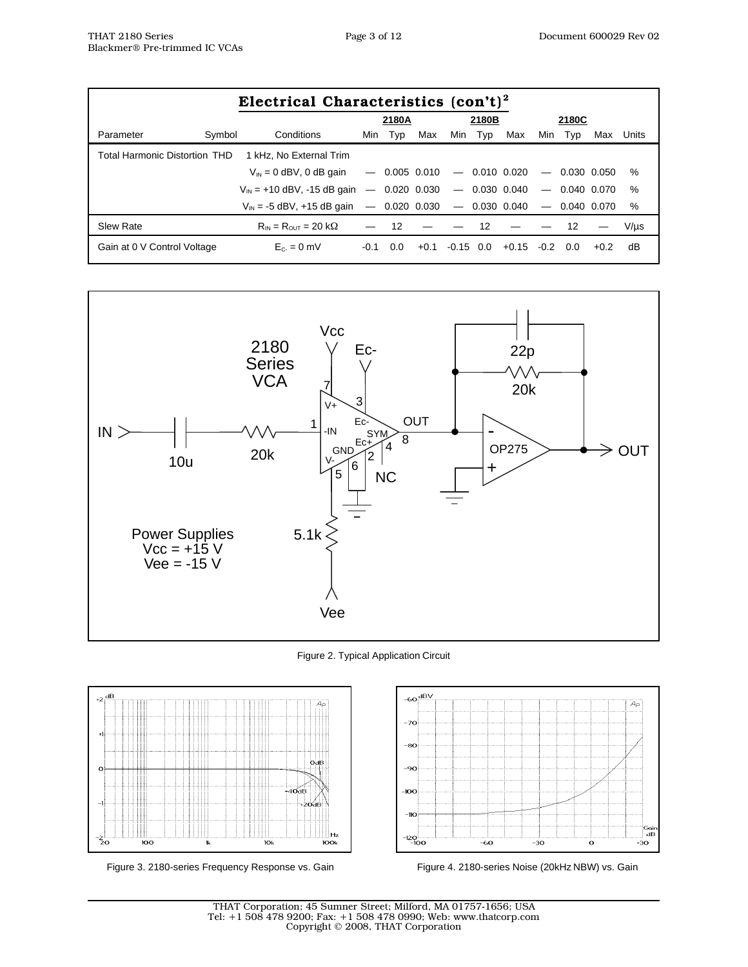| Electrical Characteristics $(\text{con't})^2$ |                                                                    |        |       |        |             |       |         |        |                 |        |           |
|-----------------------------------------------|--------------------------------------------------------------------|--------|-------|--------|-------------|-------|---------|--------|-----------------|--------|-----------|
|                                               |                                                                    |        | 2180A |        |             | 2180B |         |        | 2180C           |        |           |
| Symbol<br>Parameter                           | Conditions                                                         | Min    | Typ   | Max    | Min         | Typ   | Max     | Min    | Typ             | Max    | Units     |
| Total Harmonic Distortion THD                 | 1 kHz. No External Trim                                            |        |       |        |             |       |         |        |                 |        |           |
|                                               | $V_{\text{IN}} = 0$ dBV, 0 dB gain $-$ 0.005 0.010 $-$ 0.010 0.020 |        |       |        |             |       |         |        | $-$ 0.030 0.050 |        | %         |
|                                               | $V_{\text{IN}}$ = +10 dBV, -15 dB gain - 0.020 0.030 - 0.030 0.040 |        |       |        |             |       |         |        | $-$ 0.040 0.070 |        | %         |
|                                               | $V_{\text{IN}}$ = -5 dBV, +15 dB gain - 0.020 0.030 - 0.030 0.040  |        |       |        |             |       |         |        | $-$ 0.040 0.070 |        | %         |
| Slew Rate                                     | $R_{IN} = R_{OUT} = 20 k\Omega$                                    |        | -12   |        |             | - 12  |         |        | 12              |        | $V/\mu s$ |
| Gain at 0 V Control Voltage                   | $E_C = 0$ mV                                                       | $-0.1$ | 0.O   | $+0.1$ | $-0.15$ 0.0 |       | $+0.15$ | $-0.2$ | 0.O             | $+0.2$ | dB        |



Figure 2. Typical Application Circuit



Figure 3. 2180-series Frequency Response vs. Gain Figure 4. 2180-series Noise (20kHz NBW) vs. Gain



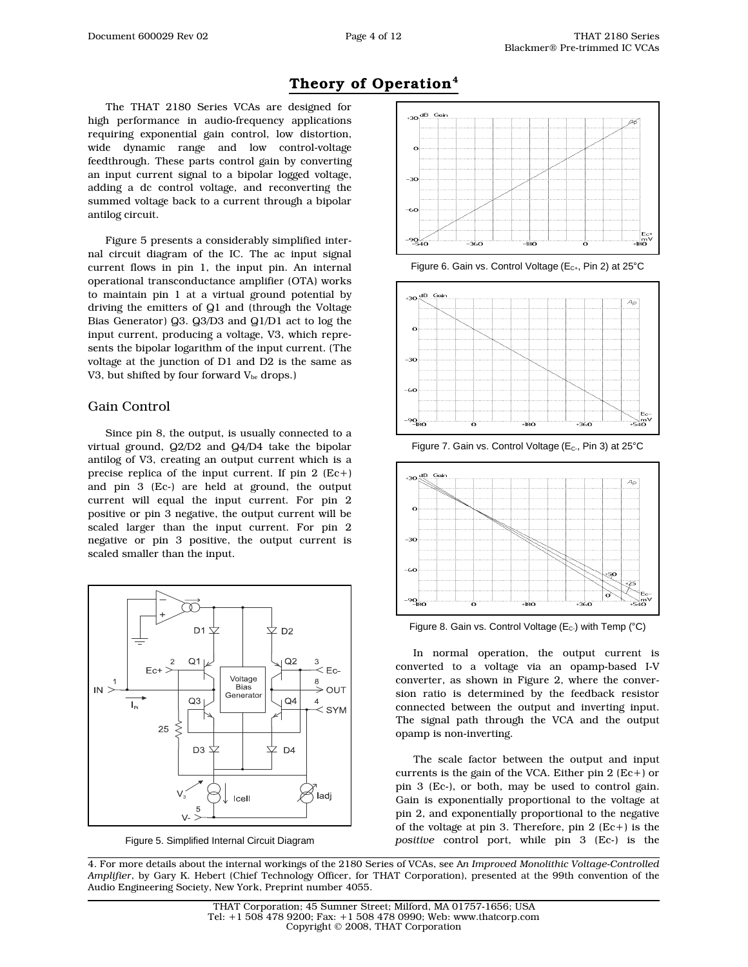# Theory of Operation<sup>4</sup>

The THAT 2180 Series VCAs are designed for high performance in audio-frequency applications requiring exponential gain control, low distortion, wide dynamic range and low control-voltage feedthrough. These parts control gain by converting an input current signal to a bipolar logged voltage, adding a dc control voltage, and reconverting the summed voltage back to a current through a bipolar antilog circuit.

Figure 5 presents a considerably simplified internal circuit diagram of the IC. The ac input signal current flows in pin 1, the input pin. An internal operational transconductance amplifier (OTA) works to maintain pin 1 at a virtual ground potential by driving the emitters of Q1 and (through the Voltage Bias Generator) Q3. Q3/D3 and Q1/D1 act to log the input current, producing a voltage, V3, which represents the bipolar logarithm of the input current. (The voltage at the junction of D1 and D2 is the same as V3, but shifted by four forward  $V_{be}$  drops.)

#### Gain Control

Since pin 8, the output, is usually connected to a virtual ground, Q2/D2 and Q4/D4 take the bipolar antilog of V3, creating an output current which is a precise replica of the input current. If pin 2 (Ec+) and pin 3 (Ec-) are held at ground, the output current will equal the input current. For pin 2 positive or pin 3 negative, the output current will be scaled larger than the input current. For pin 2 negative or pin 3 positive, the output current is scaled smaller than the input.



Figure 5. Simplified Internal Circuit Diagram



Figure 6. Gain vs. Control Voltage ( $E_{C+}$ , Pin 2) at 25°C



Figure 7. Gain vs. Control Voltage ( $E<sub>c</sub>$ , Pin 3) at 25 $\degree$ C



Figure 8. Gain vs. Control Voltage ( $E_c$ ) with Temp ( $°C$ )

In normal operation, the output current is converted to a voltage via an opamp-based I-V converter, as shown in Figure 2, where the conversion ratio is determined by the feedback resistor connected between the output and inverting input. The signal path through the VCA and the output opamp is non-inverting.

The scale factor between the output and input currents is the gain of the VCA. Either pin  $2 (Ec+)$  or pin 3 (Ec-), or both, may be used to control gain. Gain is exponentially proportional to the voltage at pin 2, and exponentially proportional to the negative of the voltage at pin 3. Therefore, pin 2 (Ec+) is the *positive* control port, while pin 3 (Ec-) is the

4. For more details about the internal workings of the 2180 Series of VCAs, see A*n Improved Monolithic Voltage-Controlled Amplifier*, by Gary K. Hebert (Chief Technology Officer, for THAT Corporation), presented at the 99th convention of the Audio Engineering Society, New York, Preprint number 4055.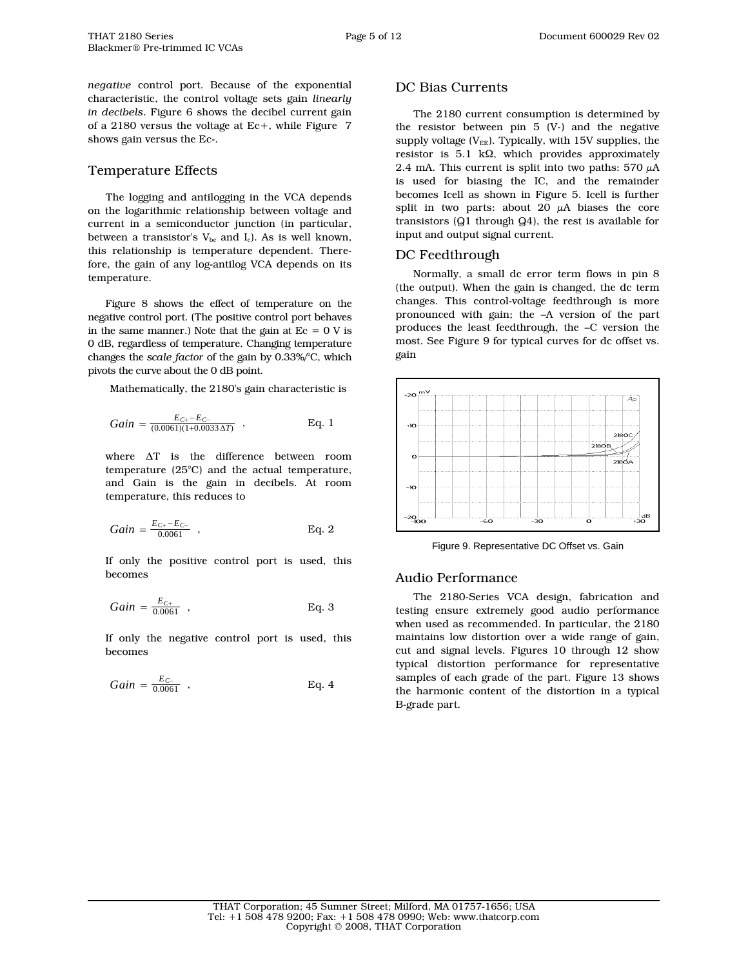*negative* control port. Because of the exponential characteristic, the control voltage sets gain *linearly in decibels*. Figure 6 shows the decibel current gain of a 2180 versus the voltage at Ec+, while Figure 7 shows gain versus the Ec-.

## Temperature Effects

The logging and antilogging in the VCA depends on the logarithmic relationship between voltage and current in a semiconductor junction (in particular, between a transistor's  $V_{bc}$  and  $I_c$ ). As is well known, this relationship is temperature dependent. Therefore, the gain of any log-antilog VCA depends on its temperature.

Figure 8 shows the effect of temperature on the negative control port. (The positive control port behaves in the same manner.) Note that the gain at  $Ec = 0 V$  is 0 dB, regardless of temperature. Changing temperature changes the *scale factor* of the gain by 0.33%/°C, which pivots the curve about the 0 dB point.

Mathematically, the 2180's gain characteristic is

$$
Gain = \frac{E_{C+} - E_{C-}}{(0.0061)(1+0.0033\,\Delta T)}
$$
. Eq. 1

where ∆T is the difference between room temperature (25°C) and the actual temperature, and Gain is the gain in decibels. At room temperature, this reduces to

$$
Gain = \frac{E_{C^{+}} - E_{C^{-}}}{0.0061} , \qquad \qquad \text{Eq. 2}
$$

If only the positive control port is used, this becomes

$$
Gain = \frac{E_{C+}}{0.0061} , \qquad \qquad Eq. 3
$$

If only the negative control port is used, this becomes

$$
Gain = \frac{E_{C-}}{0.0061} , \qquad \qquad Eq. 4
$$

## DC Bias Currents

The 2180 current consumption is determined by the resistor between pin 5 (V-) and the negative supply voltage ( $V_{EE}$ ). Typically, with 15V supplies, the resistor is 5.1 kΩ, which provides approximately 2.4 mA. This current is split into two paths:  $570 \mu A$ is used for biasing the IC, and the remainder becomes Icell as shown in Figure 5. Icell is further split in two parts: about 20  $\mu$ A biases the core transistors (Q1 through Q4), the rest is available for input and output signal current.

### DC Feedthrough

Normally, a small dc error term flows in pin 8 (the output). When the gain is changed, the dc term changes. This control-voltage feedthrough is more pronounced with gain; the –A version of the part produces the least feedthrough, the –C version the most. See Figure 9 for typical curves for dc offset vs. gain



Figure 9. Representative DC Offset vs. Gain

### Audio Performance

The 2180-Series VCA design, fabrication and testing ensure extremely good audio performance when used as recommended. In particular, the 2180 maintains low distortion over a wide range of gain, cut and signal levels. Figures 10 through 12 show typical distortion performance for representative samples of each grade of the part. Figure 13 shows the harmonic content of the distortion in a typical B-grade part.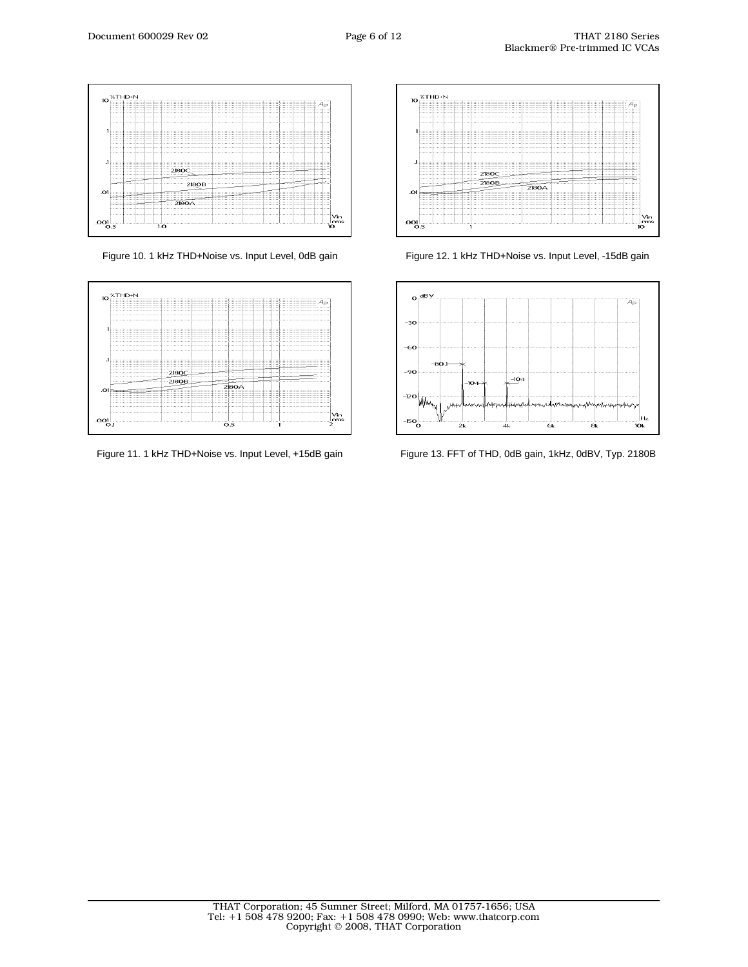



Figure 11. 1 kHz THD+Noise vs. Input Level, +15dB gain



Figure 10. 1 kHz THD+Noise vs. Input Level, 0dB gain Figure 12. 1 kHz THD+Noise vs. Input Level, -15dB gain



Figure 13. FFT of THD, 0dB gain, 1kHz, 0dBV, Typ. 2180B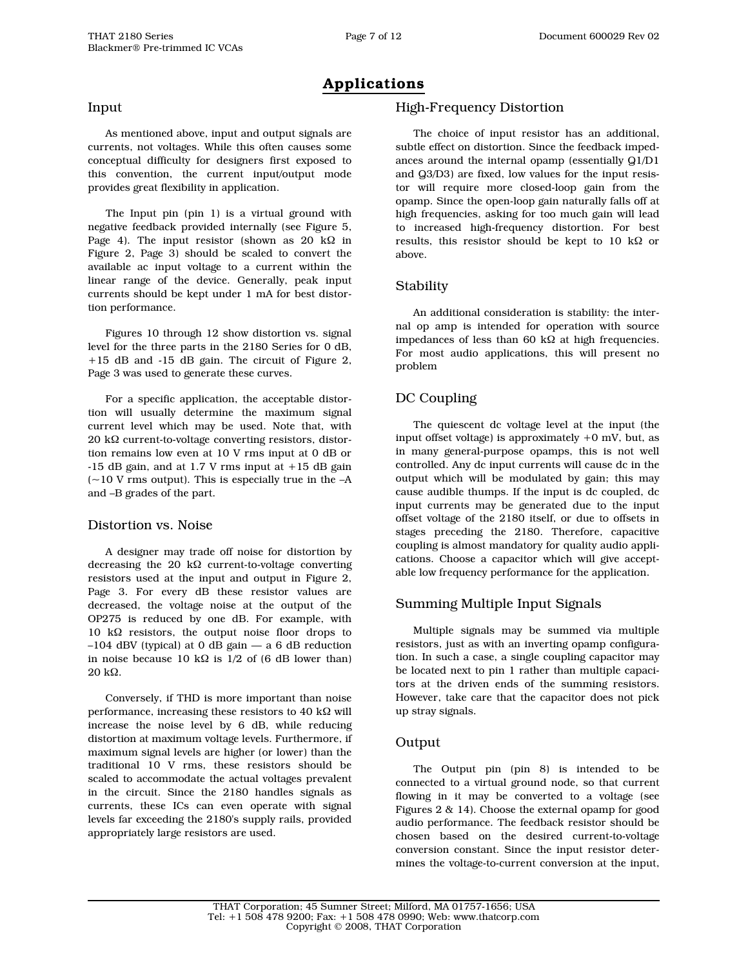## Input

Blackmer® Pre-trimmed IC VCAs

As mentioned above, input and output signals are currents, not voltages. While this often causes some conceptual difficulty for designers first exposed to this convention, the current input/output mode provides great flexibility in application.

The Input pin (pin 1) is a virtual ground with negative feedback provided internally (see Figure 5, Page 4). The input resistor (shown as 20 kΩ in Figure 2, Page 3) should be scaled to convert the available ac input voltage to a current within the linear range of the device. Generally, peak input currents should be kept under 1 mA for best distortion performance.

Figures 10 through 12 show distortion vs. signal level for the three parts in the 2180 Series for 0 dB, +15 dB and -15 dB gain. The circuit of Figure 2, Page 3 was used to generate these curves.

For a specific application, the acceptable distortion will usually determine the maximum signal current level which may be used. Note that, with 20 kΩ current-to-voltage converting resistors, distortion remains low even at 10 V rms input at 0 dB or -15 dB gain, and at 1.7 V rms input at +15 dB gain  $(-10 \text{ V} \text{ rms output})$ . This is especially true in the  $-A$ and –B grades of the part.

### Distortion vs. Noise

A designer may trade off noise for distortion by decreasing the 20 kΩ current-to-voltage converting resistors used at the input and output in Figure 2, Page 3. For every dB these resistor values are decreased, the voltage noise at the output of the OP275 is reduced by one dB. For example, with 10 kΩ resistors, the output noise floor drops to –104 dBV (typical) at 0 dB gain — a 6 dB reduction in noise because 10 kΩ is  $1/2$  of (6 dB lower than) 20 kΩ.

Conversely, if THD is more important than noise performance, increasing these resistors to 40 k $\Omega$  will increase the noise level by 6 dB, while reducing distortion at maximum voltage levels. Furthermore, if maximum signal levels are higher (or lower) than the traditional 10 V rms, these resistors should be scaled to accommodate the actual voltages prevalent in the circuit. Since the 2180 handles signals as currents, these ICs can even operate with signal levels far exceeding the 2180's supply rails, provided appropriately large resistors are used.

## High-Frequency Distortion

The choice of input resistor has an additional, subtle effect on distortion. Since the feedback impedances around the internal opamp (essentially Q1/D1 and Q3/D3) are fixed, low values for the input resistor will require more closed-loop gain from the opamp. Since the open-loop gain naturally falls off at high frequencies, asking for too much gain will lead to increased high-frequency distortion. For best results, this resistor should be kept to 10 k $\Omega$  or above.

## **Stability**

An additional consideration is stability: the internal op amp is intended for operation with source impedances of less than 60 kΩ at high frequencies. For most audio applications, this will present no problem

# DC Coupling

The quiescent dc voltage level at the input (the input offset voltage) is approximately  $+0$  mV, but, as in many general-purpose opamps, this is not well controlled. Any dc input currents will cause dc in the output which will be modulated by gain; this may cause audible thumps. If the input is dc coupled, dc input currents may be generated due to the input offset voltage of the 2180 itself, or due to offsets in stages preceding the 2180. Therefore, capacitive coupling is almost mandatory for quality audio applications. Choose a capacitor which will give acceptable low frequency performance for the application.

### Summing Multiple Input Signals

Multiple signals may be summed via multiple resistors, just as with an inverting opamp configuration. In such a case, a single coupling capacitor may be located next to pin 1 rather than multiple capacitors at the driven ends of the summing resistors. However, take care that the capacitor does not pick up stray signals.

### Output

The Output pin (pin 8) is intended to be connected to a virtual ground node, so that current flowing in it may be converted to a voltage (see Figures 2 & 14). Choose the external opamp for good audio performance. The feedback resistor should be chosen based on the desired current-to-voltage conversion constant. Since the input resistor determines the voltage-to-current conversion at the input,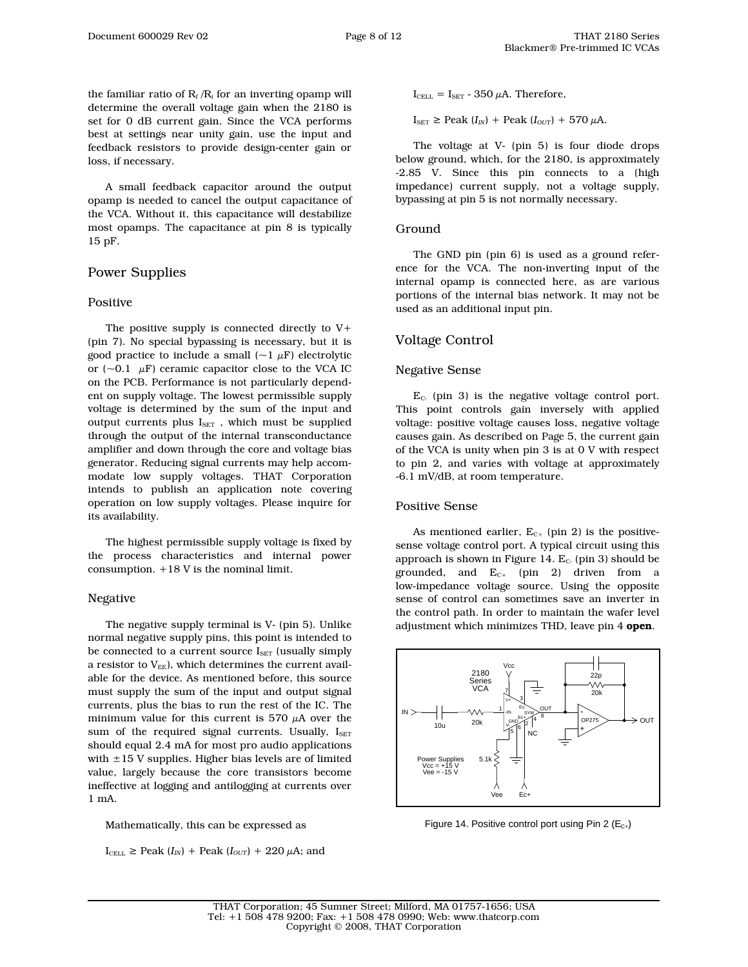the familiar ratio of  $R_f / R_i$  for an inverting opamp will determine the overall voltage gain when the 2180 is set for 0 dB current gain. Since the VCA performs best at settings near unity gain, use the input and feedback resistors to provide design-center gain or loss, if necessary.

A small feedback capacitor around the output opamp is needed to cancel the output capacitance of the VCA. Without it, this capacitance will destabilize most opamps. The capacitance at pin 8 is typically 15 pF.

# Power Supplies

#### Positive

The positive supply is connected directly to V+ (pin 7). No special bypassing is necessary, but it is good practice to include a small  $({\sim}1 \mu F)$  electrolytic or  $({\sim}0.1 \mu F)$  ceramic capacitor close to the VCA IC on the PCB. Performance is not particularly dependent on supply voltage. The lowest permissible supply voltage is determined by the sum of the input and output currents plus  $I_{\text{SET}}$ , which must be supplied through the output of the internal transconductance amplifier and down through the core and voltage bias generator. Reducing signal currents may help accommodate low supply voltages. THAT Corporation intends to publish an application note covering operation on low supply voltages. Please inquire for its availability.

The highest permissible supply voltage is fixed by the process characteristics and internal power consumption. +18 V is the nominal limit.

#### Negative

The negative supply terminal is V- (pin 5). Unlike normal negative supply pins, this point is intended to be connected to a current source  $I_{\text{SET}}$  (usually simply a resistor to  $V_{EE}$ ), which determines the current available for the device. As mentioned before, this source must supply the sum of the input and output signal currents, plus the bias to run the rest of the IC. The minimum value for this current is 570  $\mu$ A over the sum of the required signal currents. Usually,  $I_{\text{SET}}$ should equal 2.4 mA for most pro audio applications with  $\pm 15$  V supplies. Higher bias levels are of limited value, largely because the core transistors become ineffective at logging and antilogging at currents over 1 mA.

Mathematically, this can be expressed as

 $I_{\text{CELL}} \geq \text{Peak}(I_{IN}) + \text{Peak}(I_{OUT}) + 220 \,\mu\text{A}$ ; and

 $I_{\text{CEL}} = I_{\text{SET}} - 350 \mu A$ . Therefore,

 $I_{\text{SET}} \ge \text{Peak}(I_{IN}) + \text{Peak}(I_{OUT}) + 570 \,\mu\text{A}.$ 

The voltage at V- (pin 5) is four diode drops below ground, which, for the 2180, is approximately -2.85 V. Since this pin connects to a (high impedance) current supply, not a voltage supply, bypassing at pin 5 is not normally necessary.

#### Ground

The GND pin (pin 6) is used as a ground reference for the VCA. The non-inverting input of the internal opamp is connected here, as are various portions of the internal bias network. It may not be used as an additional input pin.

#### Voltage Control

#### Negative Sense

 $E<sub>c</sub>$  (pin 3) is the negative voltage control port. This point controls gain inversely with applied voltage: positive voltage causes loss, negative voltage causes gain. As described on Page 5, the current gain of the VCA is unity when pin 3 is at 0 V with respect to pin 2, and varies with voltage at approximately -6.1 mV/dB, at room temperature.

#### Positive Sense

As mentioned earlier,  $E_{C+}$  (pin 2) is the positivesense voltage control port. A typical circuit using this approach is shown in Figure 14.  $E_c$ . (pin 3) should be grounded, and  $E_{C+}$  (pin 2) driven from a low-impedance voltage source. Using the opposite sense of control can sometimes save an inverter in the control path. In order to maintain the wafer level adjustment which minimizes THD, leave pin 4 open.



Figure 14. Positive control port using Pin 2 ( $E_{C+}$ )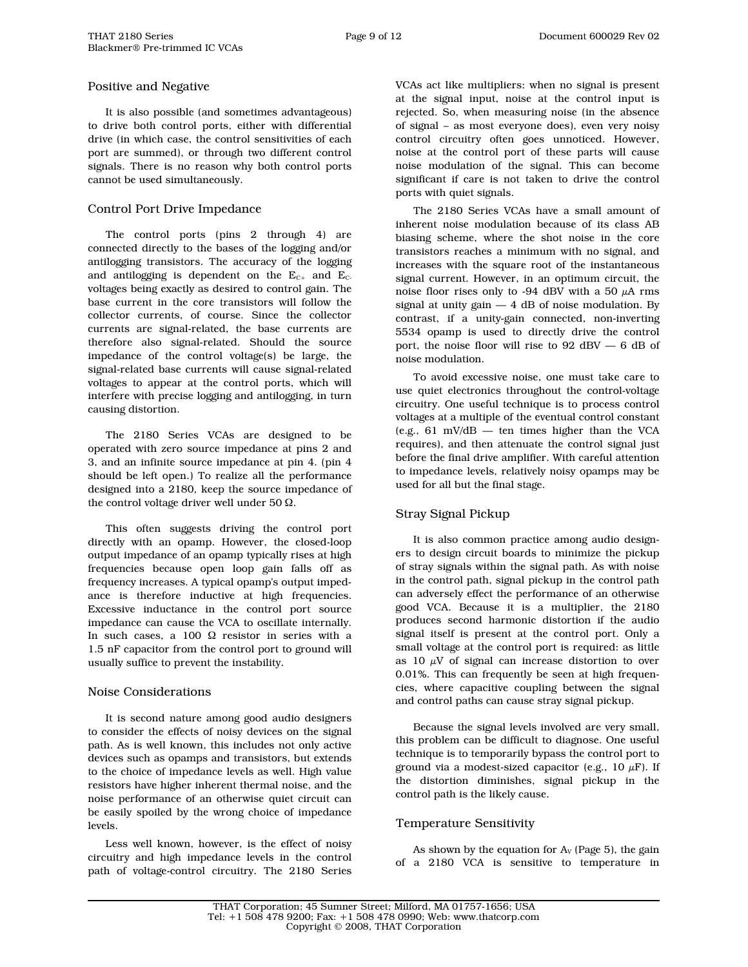#### Positive and Negative

It is also possible (and sometimes advantageous) to drive both control ports, either with differential drive (in which case, the control sensitivities of each port are summed), or through two different control signals. There is no reason why both control ports cannot be used simultaneously.

### Control Port Drive Impedance

The control ports (pins 2 through 4) are connected directly to the bases of the logging and/or antilogging transistors. The accuracy of the logging and antilogging is dependent on the  $E_{C+}$  and  $E_{C-}$ voltages being exactly as desired to control gain. The base current in the core transistors will follow the collector currents, of course. Since the collector currents are signal-related, the base currents are therefore also signal-related. Should the source impedance of the control voltage(s) be large, the signal-related base currents will cause signal-related voltages to appear at the control ports, which will interfere with precise logging and antilogging, in turn causing distortion.

The 2180 Series VCAs are designed to be operated with zero source impedance at pins 2 and 3, and an infinite source impedance at pin 4. (pin 4 should be left open.) To realize all the performance designed into a 2180, keep the source impedance of the control voltage driver well under 50 Ω.

This often suggests driving the control port directly with an opamp. However, the closed-loop output impedance of an opamp typically rises at high frequencies because open loop gain falls off as frequency increases. A typical opamp's output impedance is therefore inductive at high frequencies. Excessive inductance in the control port source impedance can cause the VCA to oscillate internally. In such cases, a 100 Ω resistor in series with a 1.5 nF capacitor from the control port to ground will usually suffice to prevent the instability.

### Noise Considerations

It is second nature among good audio designers to consider the effects of noisy devices on the signal path. As is well known, this includes not only active devices such as opamps and transistors, but extends to the choice of impedance levels as well. High value resistors have higher inherent thermal noise, and the noise performance of an otherwise quiet circuit can be easily spoiled by the wrong choice of impedance levels.

Less well known, however, is the effect of noisy circuitry and high impedance levels in the control path of voltage-control circuitry. The 2180 Series VCAs act like multipliers: when no signal is present at the signal input, noise at the control input is rejected. So, when measuring noise (in the absence of signal – as most everyone does), even very noisy control circuitry often goes unnoticed. However, noise at the control port of these parts will cause noise modulation of the signal. This can become significant if care is not taken to drive the control ports with quiet signals.

The 2180 Series VCAs have a small amount of inherent noise modulation because of its class AB biasing scheme, where the shot noise in the core transistors reaches a minimum with no signal, and increases with the square root of the instantaneous signal current. However, in an optimum circuit, the noise floor rises only to -94 dBV with a 50  $\mu$ A rms signal at unity gain  $-4$  dB of noise modulation. By contrast, if a unity-gain connected, non-inverting 5534 opamp is used to directly drive the control port, the noise floor will rise to 92 dBV — 6 dB of noise modulation.

To avoid excessive noise, one must take care to use quiet electronics throughout the control-voltage circuitry. One useful technique is to process control voltages at a multiple of the eventual control constant (e.g., 61 mV/dB — ten times higher than the VCA requires), and then attenuate the control signal just before the final drive amplifier. With careful attention to impedance levels, relatively noisy opamps may be used for all but the final stage.

### Stray Signal Pickup

It is also common practice among audio designers to design circuit boards to minimize the pickup of stray signals within the signal path. As with noise in the control path, signal pickup in the control path can adversely effect the performance of an otherwise good VCA. Because it is a multiplier, the 2180 produces second harmonic distortion if the audio signal itself is present at the control port. Only a small voltage at the control port is required: as little as 10  $\mu$ V of signal can increase distortion to over 0.01%. This can frequently be seen at high frequencies, where capacitive coupling between the signal and control paths can cause stray signal pickup.

Because the signal levels involved are very small, this problem can be difficult to diagnose. One useful technique is to temporarily bypass the control port to ground via a modest-sized capacitor (e.g.,  $10 \mu$ F). If the distortion diminishes, signal pickup in the control path is the likely cause.

### Temperature Sensitivity

As shown by the equation for  $A_V$  (Page 5), the gain of a 2180 VCA is sensitive to temperature in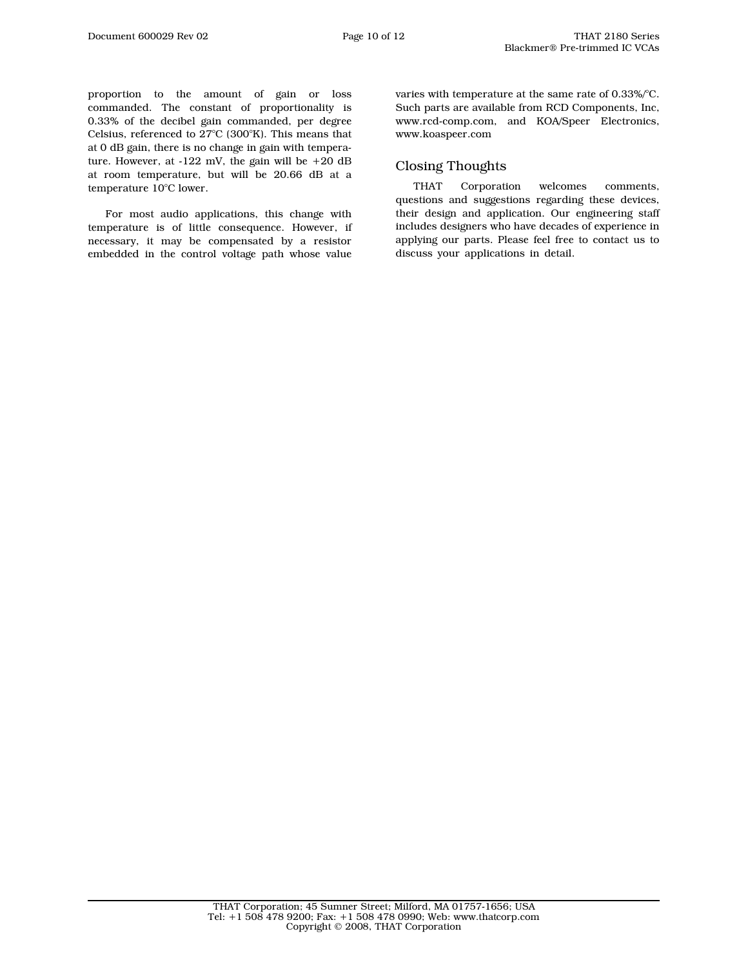proportion to the amount of gain or loss commanded. The constant of proportionality is 0.33% of the decibel gain commanded, per degree Celsius, referenced to 27°C (300°K). This means that at 0 dB gain, there is no change in gain with temperature. However, at  $-122$  mV, the gain will be  $+20$  dB at room temperature, but will be 20.66 dB at a temperature 10°C lower.

For most audio applications, this change with temperature is of little consequence. However, if necessary, it may be compensated by a resistor embedded in the control voltage path whose value

varies with temperature at the same rate of 0.33%/°C. Such parts are available from RCD Components, Inc, www.rcd-comp.com, and KOA/Speer Electronics, www.koaspeer.com

## Closing Thoughts

THAT Corporation welcomes comments, questions and suggestions regarding these devices, their design and application. Our engineering staff includes designers who have decades of experience in applying our parts. Please feel free to contact us to discuss your applications in detail.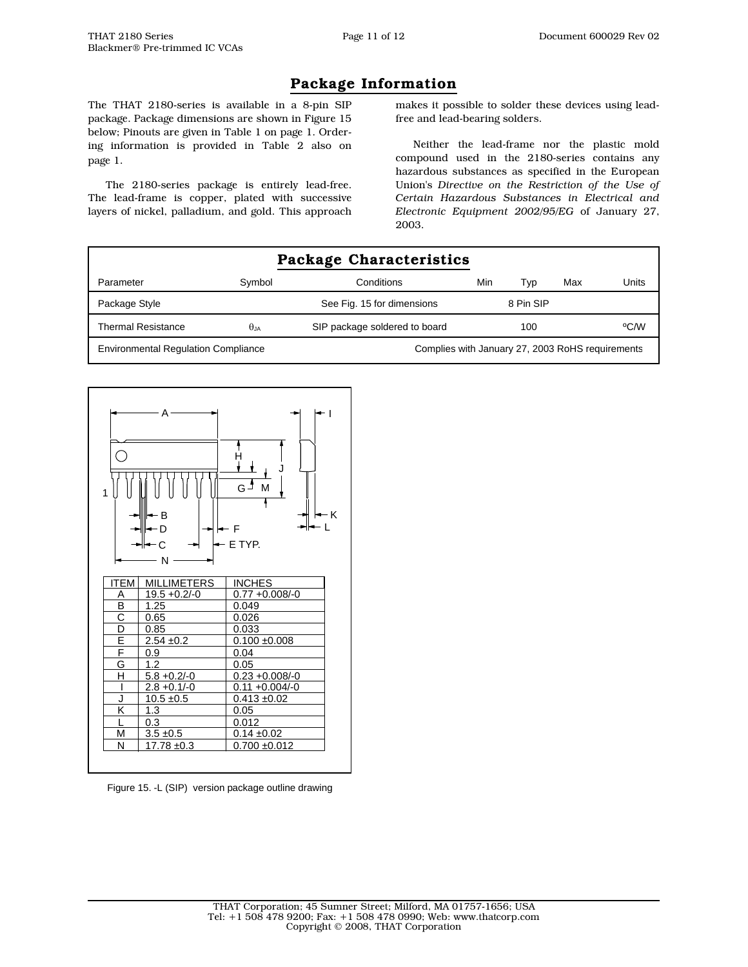# Package Information

The THAT 2180-series is available in a 8-pin SIP package. Package dimensions are shown in Figure 15 below; Pinouts are given in Table 1 on page 1. Ordering information is provided in Table 2 also on page 1.

The 2180-series package is entirely lead-free. The lead-frame is copper, plated with successive layers of nickel, palladium, and gold. This approach makes it possible to solder these devices using leadfree and lead-bearing solders.

Neither the lead-frame nor the plastic mold compound used in the 2180-series contains any hazardous substances as specified in the European Union's *Directive on the Restriction of the Use of Certain Hazardous Substances in Electrical and Electronic Equipment 2002/95/EG* of January 27, 2003.

|                                                                                                |              | Package Characteristics       |     |           |     |       |
|------------------------------------------------------------------------------------------------|--------------|-------------------------------|-----|-----------|-----|-------|
| Parameter                                                                                      | Symbol       | Conditions                    | Min | Typ       | Max | Units |
| Package Style                                                                                  |              | See Fig. 15 for dimensions    |     | 8 Pin SIP |     |       |
| <b>Thermal Resistance</b>                                                                      | $\theta$ .ja | SIP package soldered to board |     | 100       |     | °C/W  |
| Complies with January 27, 2003 RoHS requirements<br><b>Environmental Regulation Compliance</b> |              |                               |     |           |     |       |



Figure 15. -L (SIP) version package outline drawing